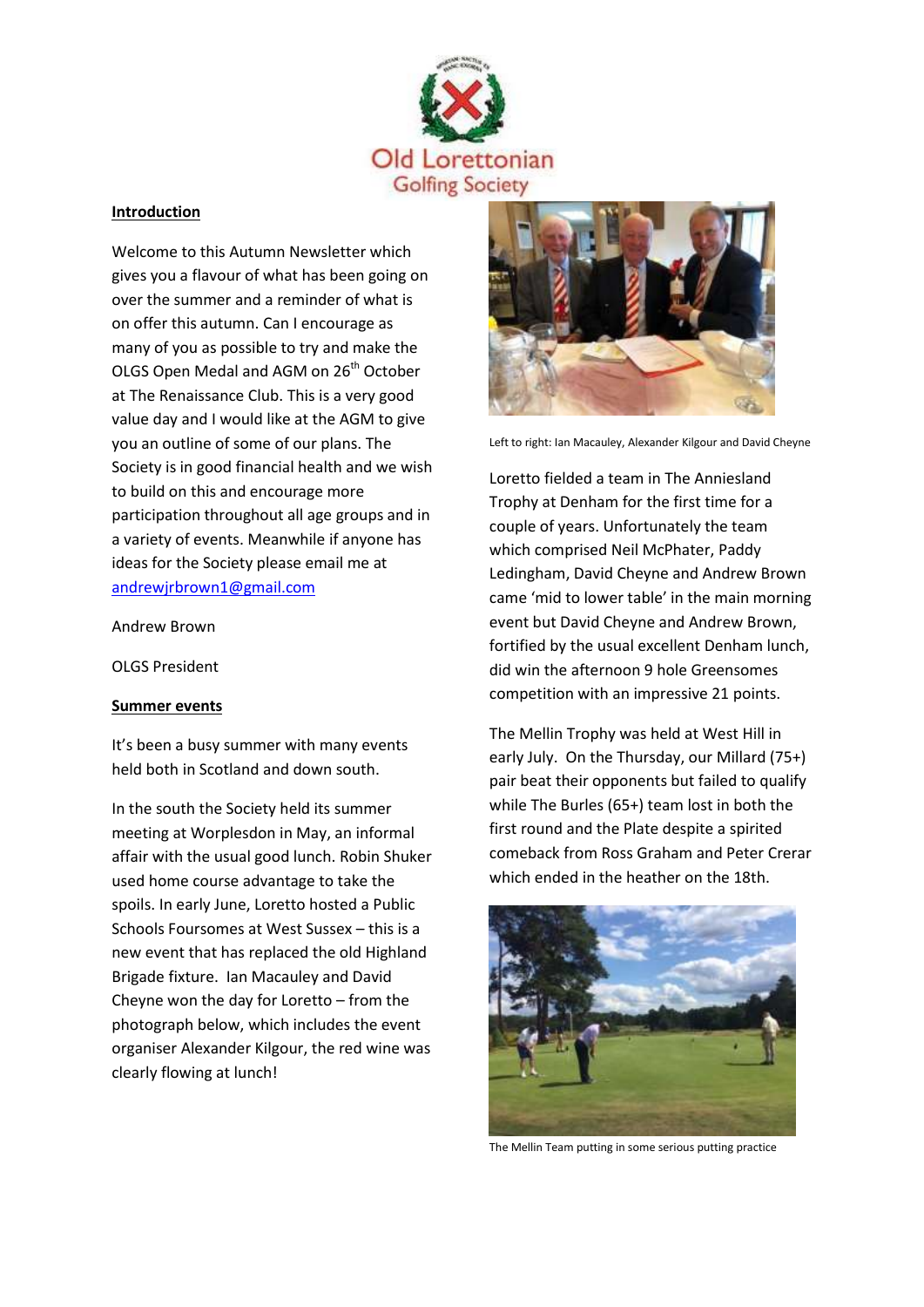

## **Introduction**

Welcome to this Autumn Newsletter which gives you a flavour of what has been going on over the summer and a reminder of what is on offer this autumn. Can I encourage as many of you as possible to try and make the OLGS Open Medal and AGM on 26<sup>th</sup> October at The Renaissance Club. This is a very good value day and I would like at the AGM to give you an outline of some of our plans. The Society is in good financial health and we wish to build on this and encourage more participation throughout all age groups and in a variety of events. Meanwhile if anyone has ideas for the Society please email me at [andrewjrbrown1@gmail.com](mailto:andrewjrbrown1@gmail.com)

Andrew Brown

OLGS President

## **Summer events**

It's been a busy summer with many events held both in Scotland and down south.

In the south the Society held its summer meeting at Worplesdon in May, an informal affair with the usual good lunch. Robin Shuker used home course advantage to take the spoils. In early June, Loretto hosted a Public Schools Foursomes at West Sussex – this is a new event that has replaced the old Highland Brigade fixture. Ian Macauley and David Cheyne won the day for Loretto – from the photograph below, which includes the event organiser Alexander Kilgour, the red wine was clearly flowing at lunch!



Left to right: Ian Macauley, Alexander Kilgour and David Cheyne

Loretto fielded a team in The Anniesland Trophy at Denham for the first time for a couple of years. Unfortunately the team which comprised Neil McPhater, Paddy Ledingham, David Cheyne and Andrew Brown came 'mid to lower table' in the main morning event but David Cheyne and Andrew Brown, fortified by the usual excellent Denham lunch, did win the afternoon 9 hole Greensomes competition with an impressive 21 points.

The Mellin Trophy was held at West Hill in early July. On the Thursday, our Millard (75+) pair beat their opponents but failed to qualify while The Burles (65+) team lost in both the first round and the Plate despite a spirited comeback from Ross Graham and Peter Crerar which ended in the heather on the 18th.



The Mellin Team putting in some serious putting practice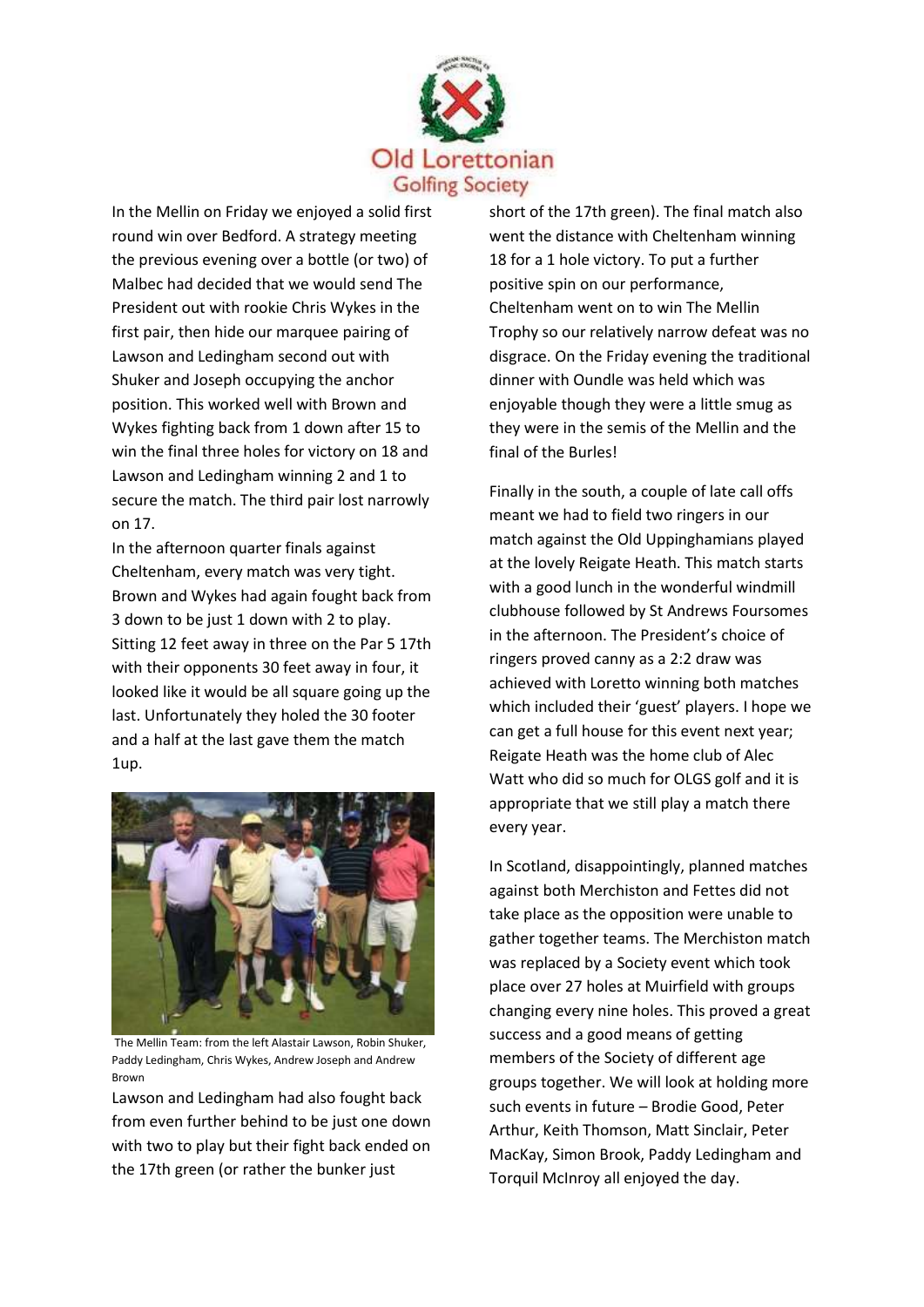

In the Mellin on Friday we enjoyed a solid first round win over Bedford. A strategy meeting the previous evening over a bottle (or two) of Malbec had decided that we would send The President out with rookie Chris Wykes in the first pair, then hide our marquee pairing of Lawson and Ledingham second out with Shuker and Joseph occupying the anchor position. This worked well with Brown and Wykes fighting back from 1 down after 15 to win the final three holes for victory on 18 and Lawson and Ledingham winning 2 and 1 to secure the match. The third pair lost narrowly on 17.

In the afternoon quarter finals against Cheltenham, every match was very tight. Brown and Wykes had again fought back from 3 down to be just 1 down with 2 to play. Sitting 12 feet away in three on the Par 5 17th with their opponents 30 feet away in four, it looked like it would be all square going up the last. Unfortunately they holed the 30 footer and a half at the last gave them the match 1up.



The Mellin Team: from the left Alastair Lawson, Robin Shuker, Paddy Ledingham, Chris Wykes, Andrew Joseph and Andrew Brown

Lawson and Ledingham had also fought back from even further behind to be just one down with two to play but their fight back ended on the 17th green (or rather the bunker just

short of the 17th green). The final match also went the distance with Cheltenham winning 18 for a 1 hole victory. To put a further positive spin on our performance, Cheltenham went on to win The Mellin Trophy so our relatively narrow defeat was no disgrace. On the Friday evening the traditional dinner with Oundle was held which was enjoyable though they were a little smug as they were in the semis of the Mellin and the final of the Burles!

Finally in the south, a couple of late call offs meant we had to field two ringers in our match against the Old Uppinghamians played at the lovely Reigate Heath. This match starts with a good lunch in the wonderful windmill clubhouse followed by St Andrews Foursomes in the afternoon. The President's choice of ringers proved canny as a 2:2 draw was achieved with Loretto winning both matches which included their 'guest' players. I hope we can get a full house for this event next year; Reigate Heath was the home club of Alec Watt who did so much for OLGS golf and it is appropriate that we still play a match there every year.

In Scotland, disappointingly, planned matches against both Merchiston and Fettes did not take place as the opposition were unable to gather together teams. The Merchiston match was replaced by a Society event which took place over 27 holes at Muirfield with groups changing every nine holes. This proved a great success and a good means of getting members of the Society of different age groups together. We will look at holding more such events in future – Brodie Good, Peter Arthur, Keith Thomson, Matt Sinclair, Peter MacKay, Simon Brook, Paddy Ledingham and Torquil McInroy all enjoyed the day.